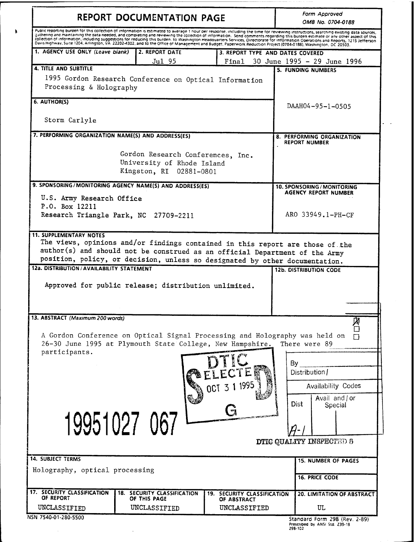| <b>REPORT DOCUMENTATION PAGE</b>                                                                                                                                                                                                                                                                                                                                                                                                                                                                                                                                                                                                                                                                                                    |                                                                                            |                                            | Form Approved<br>OMB No. 0704-0188                            |  |
|-------------------------------------------------------------------------------------------------------------------------------------------------------------------------------------------------------------------------------------------------------------------------------------------------------------------------------------------------------------------------------------------------------------------------------------------------------------------------------------------------------------------------------------------------------------------------------------------------------------------------------------------------------------------------------------------------------------------------------------|--------------------------------------------------------------------------------------------|--------------------------------------------|---------------------------------------------------------------|--|
| Public reporting burden for this collection of information is estimated to average 1 hour per response, including the time for reviewing instructions, searching existing data sources,<br>gathering and maintaining the data needed, and completing and reviewing the collection of information. Send comments regarding this burden estimate or any other aspect of this<br>collection of information, including suggestions for reducing this burden, to Washington Headquarters Services, Directorate for information Operations and Reports, 1215 Jefferson<br>Davis Highway, Suite 1204, Arlington, VA 22202-4302, and to the Office of Management and Budget, Paperwork Reduction Project (0704-0188), Washington, DC 20503. |                                                                                            |                                            |                                                               |  |
| 1. AGENCY USE ONLY (Leave blank)                                                                                                                                                                                                                                                                                                                                                                                                                                                                                                                                                                                                                                                                                                    | 2. REPORT DATE                                                                             | 3. REPORT TYPE AND DATES COVERED           |                                                               |  |
| <b>4. TITLE AND SUBTITLE</b>                                                                                                                                                                                                                                                                                                                                                                                                                                                                                                                                                                                                                                                                                                        | Jul 95                                                                                     | Final                                      | 30 June 1995 - 29 June 1996<br><b>5. FUNDING NUMBERS</b>      |  |
| 1995 Gordon Research Conference on Optical Information<br>Processing & Holography                                                                                                                                                                                                                                                                                                                                                                                                                                                                                                                                                                                                                                                   |                                                                                            |                                            |                                                               |  |
| 6. AUTHOR(S)                                                                                                                                                                                                                                                                                                                                                                                                                                                                                                                                                                                                                                                                                                                        |                                                                                            |                                            | DAAH04-95-1-0505                                              |  |
| Storm Carlyle                                                                                                                                                                                                                                                                                                                                                                                                                                                                                                                                                                                                                                                                                                                       |                                                                                            |                                            |                                                               |  |
| 7. PERFORMING ORGANIZATION NAME(S) AND ADDRESS(ES)                                                                                                                                                                                                                                                                                                                                                                                                                                                                                                                                                                                                                                                                                  |                                                                                            |                                            | 8. PERFORMING ORGANIZATION<br><b>REPORT NUMBER</b>            |  |
|                                                                                                                                                                                                                                                                                                                                                                                                                                                                                                                                                                                                                                                                                                                                     | Gordon Research Conferences, Inc.<br>University of Rhode Island<br>Kingston, RI 02881-0801 |                                            |                                                               |  |
| 9. SPONSORING/MONITORING AGENCY NAME(S) AND ADDRESS(ES)                                                                                                                                                                                                                                                                                                                                                                                                                                                                                                                                                                                                                                                                             |                                                                                            |                                            | 10. SPONSORING / MONITORING                                   |  |
| U.S. Army Research Office<br>P.O. Box 12211                                                                                                                                                                                                                                                                                                                                                                                                                                                                                                                                                                                                                                                                                         |                                                                                            |                                            | AGENCY REPORT NUMBER                                          |  |
| Research Triangle Park, NC 27709-2211                                                                                                                                                                                                                                                                                                                                                                                                                                                                                                                                                                                                                                                                                               |                                                                                            |                                            | ARO 33949.1-PH-CF                                             |  |
| <b>11. SUPPLEMENTARY NOTES</b><br>The views, opinions and/or findings contained in this report are those of the<br>author(s) and should not be construed as an official Department of the Army<br>position, policy, or decision, unless so designated by other documentation.                                                                                                                                                                                                                                                                                                                                                                                                                                                       |                                                                                            |                                            |                                                               |  |
| 12a. DISTRIBUTION / AVAILABILITY STATEMENT<br>Approved for public release; distribution unlimited.                                                                                                                                                                                                                                                                                                                                                                                                                                                                                                                                                                                                                                  |                                                                                            |                                            | <b>12b. DISTRIBUTION CODE</b>                                 |  |
| 13. ABSTRACT (Maximum 200 words)                                                                                                                                                                                                                                                                                                                                                                                                                                                                                                                                                                                                                                                                                                    |                                                                                            |                                            |                                                               |  |
| A Gordon Conference on Optical Signal Processing and Holography was held on<br>26-30 June 1995 at Plymouth State College, New Hampshire.                                                                                                                                                                                                                                                                                                                                                                                                                                                                                                                                                                                            |                                                                                            |                                            | Ø<br>There were 89                                            |  |
| participants.                                                                                                                                                                                                                                                                                                                                                                                                                                                                                                                                                                                                                                                                                                                       |                                                                                            |                                            | By<br>Distribution /                                          |  |
|                                                                                                                                                                                                                                                                                                                                                                                                                                                                                                                                                                                                                                                                                                                                     |                                                                                            | 1995                                       | <b>Availability Codes</b>                                     |  |
|                                                                                                                                                                                                                                                                                                                                                                                                                                                                                                                                                                                                                                                                                                                                     |                                                                                            |                                            | Avail and / or<br>Dist<br>Special                             |  |
| 19951027 067                                                                                                                                                                                                                                                                                                                                                                                                                                                                                                                                                                                                                                                                                                                        |                                                                                            |                                            |                                                               |  |
| <b>14. SUBJECT TERMS</b>                                                                                                                                                                                                                                                                                                                                                                                                                                                                                                                                                                                                                                                                                                            |                                                                                            |                                            | <b>DTIC QUALITY INSPECTED 8</b><br><b>15. NUMBER OF PAGES</b> |  |
| Holography, optical processing                                                                                                                                                                                                                                                                                                                                                                                                                                                                                                                                                                                                                                                                                                      |                                                                                            |                                            | <b>16. PRICE CODE</b>                                         |  |
| 17. SECURITY CLASSIFICATION<br>OF REPORT                                                                                                                                                                                                                                                                                                                                                                                                                                                                                                                                                                                                                                                                                            | <b>18. SECURITY CLASSIFICATION</b><br>OF THIS PAGE                                         | 19. SECURITY CLASSIFICATION<br>OF ABSTRACT | <b>20. LIMITATION OF ABSTRACT</b>                             |  |

 $\mathcal{A}^{\mathcal{A}}$ 

 $\pmb{\ast}$ 

 $\ddot{\phantom{0}}$